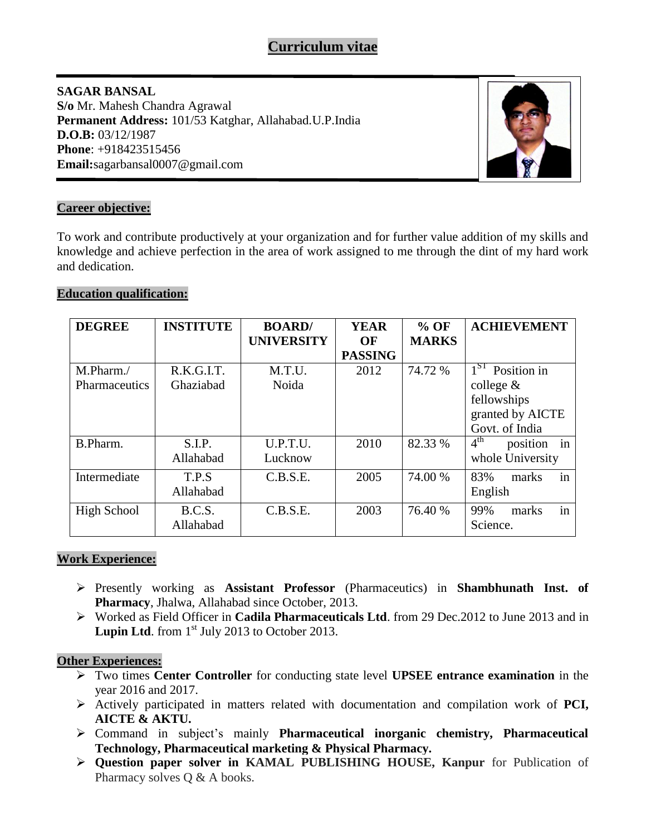# **SAGAR BANSAL S/o** Mr. Mahesh Chandra Agrawal **Permanent Address:** 101/53 Katghar, Allahabad.U.P.India **D.O.B:** 03/12/1987 **Phone**: +918423515456 **Email:**sagarbansal0007@gmail.com



# **Career objective:**

To work and contribute productively at your organization and for further value addition of my skills and knowledge and achieve perfection in the area of work assigned to me through the dint of my hard work and dedication.

## **Education qualification:**

| <b>DEGREE</b> | <b>INSTITUTE</b> | <b>BOARD</b> /<br><b>UNIVERSITY</b> | <b>YEAR</b><br>OF | $%$ OF<br><b>MARKS</b> | <b>ACHIEVEMENT</b>                |
|---------------|------------------|-------------------------------------|-------------------|------------------------|-----------------------------------|
|               |                  |                                     | <b>PASSING</b>    |                        |                                   |
| M.Pharm./     | R.K.G.I.T.       | M.T.U.                              | 2012              | 74.72 %                | $1ST$ Position in                 |
| Pharmaceutics | Ghaziabad        | Noida                               |                   |                        | college $\&$                      |
|               |                  |                                     |                   |                        | fellowships                       |
|               |                  |                                     |                   |                        | granted by AICTE                  |
|               |                  |                                     |                   |                        | Govt. of India                    |
| B.Pharm.      | S.I.P.           | U.P.T.U.                            | 2010              | 82.33 %                | 4 <sup>th</sup><br>in<br>position |
|               | Allahabad        | Lucknow                             |                   |                        | whole University                  |
| Intermediate  | T.P.S            | C.B.S.E.                            | 2005              | 74.00 %                | in<br>83%<br>marks                |
|               | Allahabad        |                                     |                   |                        | English                           |
| High School   | B.C.S.           | C.B.S.E.                            | 2003              | 76.40 %                | in<br>99%<br>marks                |
|               | Allahabad        |                                     |                   |                        | Science.                          |

## **Work Experience:**

- Presently working as **Assistant Professor** (Pharmaceutics) in **Shambhunath Inst. of Pharmacy**, Jhalwa, Allahabad since October, 2013.
- Worked as Field Officer in **Cadila Pharmaceuticals Ltd**. from 29 Dec.2012 to June 2013 and in **Lupin Ltd.** from  $1<sup>st</sup>$  July 2013 to October 2013.

## **Other Experiences:**

- Two times **Center Controller** for conducting state level **UPSEE entrance examination** in the year 2016 and 2017.
- Actively participated in matters related with documentation and compilation work of **PCI, AICTE & AKTU.**
- Command in subject's mainly **Pharmaceutical inorganic chemistry, Pharmaceutical Technology, Pharmaceutical marketing & Physical Pharmacy.**
- **Question paper solver in KAMAL PUBLISHING HOUSE, Kanpur** for Publication of Pharmacy solves Q & A books.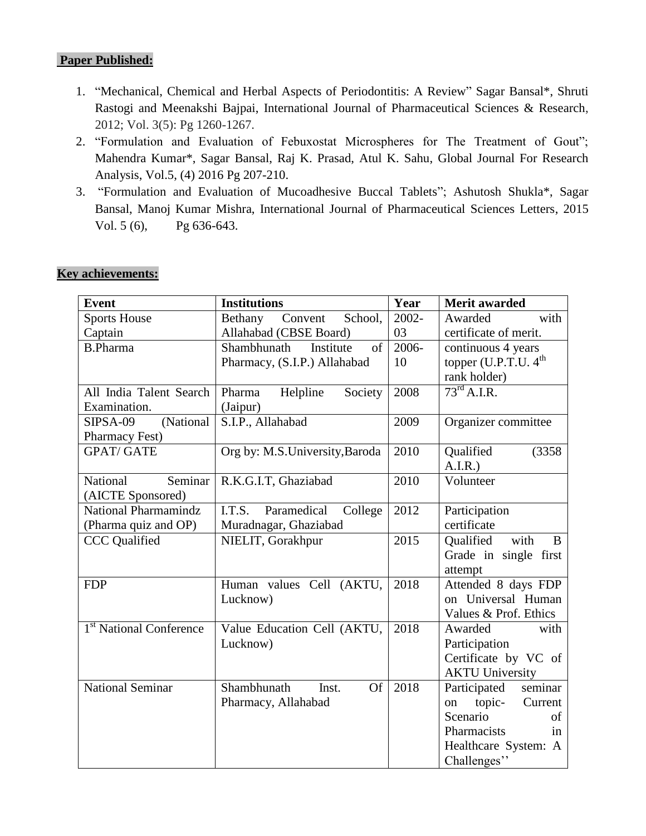## **Paper Published:**

- 1. "Mechanical, Chemical and Herbal Aspects of Periodontitis: A Review" Sagar Bansal\*, Shruti Rastogi and Meenakshi Bajpai, International Journal of Pharmaceutical Sciences & Research, 2012; Vol. 3(5): Pg 1260-1267.
- 2. "Formulation and Evaluation of Febuxostat Microspheres for The Treatment of Gout"; [Mahendra Kumar\\*, Sagar Bansal, Raj K. Prasad, Atul K. Sahu,](https://www.google.co.in/url?sa=t&rct=j&q=&esrc=s&source=web&cd=1&cad=rja&uact=8&ved=0ahUKEwjuw_mIzpXOAhWKpo8KHdvXB00QFggbMAA&url=http%3A%2F%2Fwww.worldwidejournals.com%2Fgra%2Farticles.php%3Fval%3DNDY1Nw%3D%3D%26b1%3D429%26k%3D108&usg=AFQjCNH-ONhwYUH7NaUP1_RV7_PaMGePWA&sig2=0ShEQku8No-Ec67EQT84QQ&bvm=bv.128153897,d.c2I) Global Journal For Research Analysis, Vol.5, (4) 2016 Pg 207-210.
- 3. ["Formulation and Evaluation of Mucoadhesive Buccal Tablets"; Ashutosh Shukla\\*, Sagar](https://www.google.co.in/url?sa=t&rct=j&q=&esrc=s&source=web&cd=1&cad=rja&uact=8&ved=0ahUKEwj8zunAtJPOAhUIu48KHZL3CbAQFggbMAA&url=http%3A%2F%2Fijpsl.com%2Fadmin%2Fupload_data%2Fjournal_Ashutosh%2520Shukla.pdf&usg=AFQjCNEcJ_BwAWiUV8RZdfCoO6xvBa6OnA&bvm=bv.128153897,d.c2I)  [Bansal, Manoj Kumar Mishra, International Journal of Pharmaceutical Sciences Letters,](https://www.google.co.in/url?sa=t&rct=j&q=&esrc=s&source=web&cd=1&cad=rja&uact=8&ved=0ahUKEwj8zunAtJPOAhUIu48KHZL3CbAQFggbMAA&url=http%3A%2F%2Fijpsl.com%2Fadmin%2Fupload_data%2Fjournal_Ashutosh%2520Shukla.pdf&usg=AFQjCNEcJ_BwAWiUV8RZdfCoO6xvBa6OnA&bvm=bv.128153897,d.c2I) 2015 [Vol. 5 \(6\), Pg 636-643.](https://www.google.co.in/url?sa=t&rct=j&q=&esrc=s&source=web&cd=1&cad=rja&uact=8&ved=0ahUKEwj8zunAtJPOAhUIu48KHZL3CbAQFggbMAA&url=http%3A%2F%2Fijpsl.com%2Fadmin%2Fupload_data%2Fjournal_Ashutosh%2520Shukla.pdf&usg=AFQjCNEcJ_BwAWiUV8RZdfCoO6xvBa6OnA&bvm=bv.128153897,d.c2I)

| <b>Event</b>                        | <b>Institutions</b>               | Year     | <b>Merit awarded</b>             |
|-------------------------------------|-----------------------------------|----------|----------------------------------|
| <b>Sports House</b>                 | Bethany<br>Convent<br>School,     | $2002 -$ | Awarded<br>with                  |
| Captain                             | Allahabad (CBSE Board)            | 03       | certificate of merit.            |
| <b>B.Pharma</b>                     | Shambhunath<br>Institute<br>of    | 2006-    | continuous 4 years               |
|                                     | Pharmacy, (S.I.P.) Allahabad      | 10       | topper (U.P.T.U. 4 <sup>th</sup> |
|                                     |                                   |          | rank holder)                     |
| All India Talent Search             | Helpline<br>Society<br>Pharma     | 2008     | $73^{\text{rd}}$ A.I.R.          |
| Examination.                        | (Jaipur)                          |          |                                  |
| (National<br>SIPSA-09               | S.I.P., Allahabad                 | 2009     | Organizer committee              |
| <b>Pharmacy Fest</b> )              |                                   |          |                                  |
| <b>GPAT/ GATE</b>                   | Org by: M.S.University, Baroda    | 2010     | Qualified<br>(3358)              |
|                                     |                                   |          | A.I.R.                           |
| Seminar<br><b>National</b>          | R.K.G.I.T, Ghaziabad              | 2010     | Volunteer                        |
| (AICTE Sponsored)                   |                                   |          |                                  |
| National Pharmamindz                | I.T.S.<br>Paramedical<br>College  | 2012     | Participation                    |
| (Pharma quiz and OP)                | Muradnagar, Ghaziabad             |          | certificate                      |
| <b>CCC</b> Qualified                | NIELIT, Gorakhpur                 | 2015     | with<br>Qualified<br>B           |
|                                     |                                   |          | Grade in single first            |
|                                     |                                   |          | attempt                          |
| <b>FDP</b>                          | Human values Cell (AKTU,          | 2018     | Attended 8 days FDP              |
|                                     | Lucknow)                          |          | on Universal Human               |
|                                     |                                   |          | Values & Prof. Ethics            |
| 1 <sup>st</sup> National Conference | Value Education Cell (AKTU,       | 2018     | Awarded<br>with                  |
|                                     | Lucknow)                          |          | Participation                    |
|                                     |                                   |          | Certificate by VC of             |
|                                     |                                   |          | <b>AKTU University</b>           |
| <b>National Seminar</b>             | Shambhunath<br><b>Of</b><br>Inst. | 2018     | seminar<br>Participated          |
|                                     | Pharmacy, Allahabad               |          | topic-<br>Current<br>on          |
|                                     |                                   |          | Scenario<br>of                   |
|                                     |                                   |          | Pharmacists<br>in                |
|                                     |                                   |          | Healthcare System: A             |
|                                     |                                   |          | Challenges"                      |

### **Key achievements:**